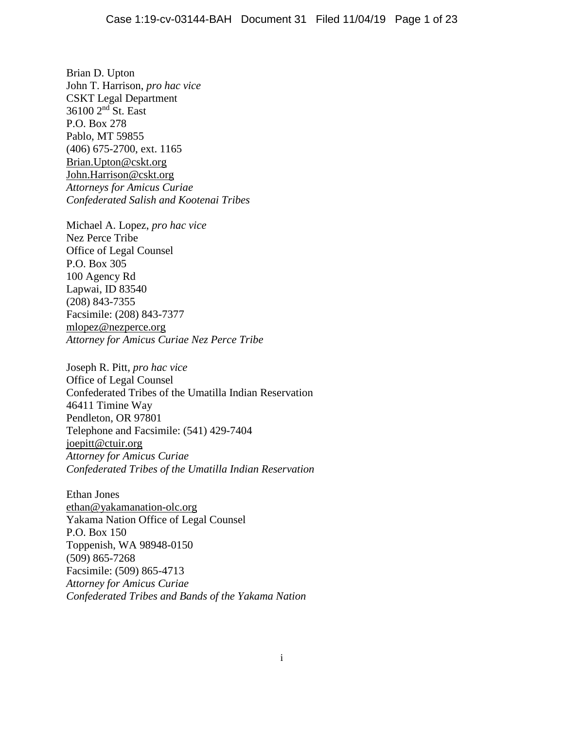Brian D. Upton John T. Harrison, *pro hac vice* CSKT Legal Department 36100 2nd St. East P.O. Box 278 Pablo, MT 59855 (406) 675-2700, ext. 1165 [Brian.Upton@cskt.org](mailto:Brian.Upton@cskt.org) John.Harrison@cskt.org *Attorneys for Amicus Curiae Confederated Salish and Kootenai Tribes*

Michael A. Lopez, *pro hac vice* Nez Perce Tribe Office of Legal Counsel P.O. Box 305 100 Agency Rd Lapwai, ID 83540 (208) 843-7355 Facsimile: (208) 843-7377 mlopez@nezperce.org *Attorney for Amicus Curiae Nez Perce Tribe*

Joseph R. Pitt, *pro hac vice* Office of Legal Counsel Confederated Tribes of the Umatilla Indian Reservation 46411 Timine Way Pendleton, OR 97801 Telephone and Facsimile: (541) 429-7404 [joepitt@ctuir.org](mailto:joepitt@ctuir.org) *Attorney for Amicus Curiae Confederated Tribes of the Umatilla Indian Reservation*

Ethan Jones [ethan@yakamanation-olc.org](mailto:ethan@yakamanation-olc.org) Yakama Nation Office of Legal Counsel P.O. Box 150 Toppenish, WA 98948-0150 (509) 865-7268 Facsimile: (509) 865-4713 *Attorney for Amicus Curiae Confederated Tribes and Bands of the Yakama Nation*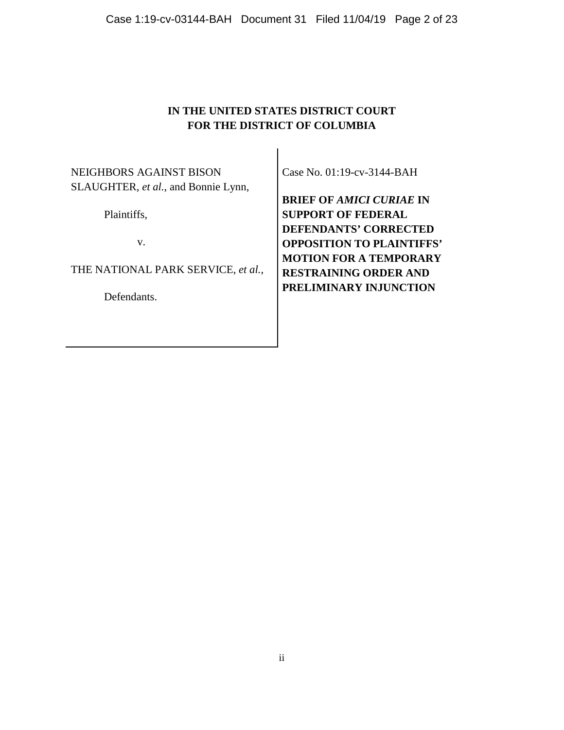### **IN THE UNITED STATES DISTRICT COURT FOR THE DISTRICT OF COLUMBIA**

NEIGHBORS AGAINST BISON SLAUGHTER, *et al.*, and Bonnie Lynn,

Plaintiffs,

v.

THE NATIONAL PARK SERVICE, *et al.*,

Defendants.

Case No. 01:19-cv-3144-BAH

**BRIEF OF** *AMICI CURIAE* **IN SUPPORT OF FEDERAL DEFENDANTS' CORRECTED OPPOSITION TO PLAINTIFFS' MOTION FOR A TEMPORARY RESTRAINING ORDER AND PRELIMINARY INJUNCTION**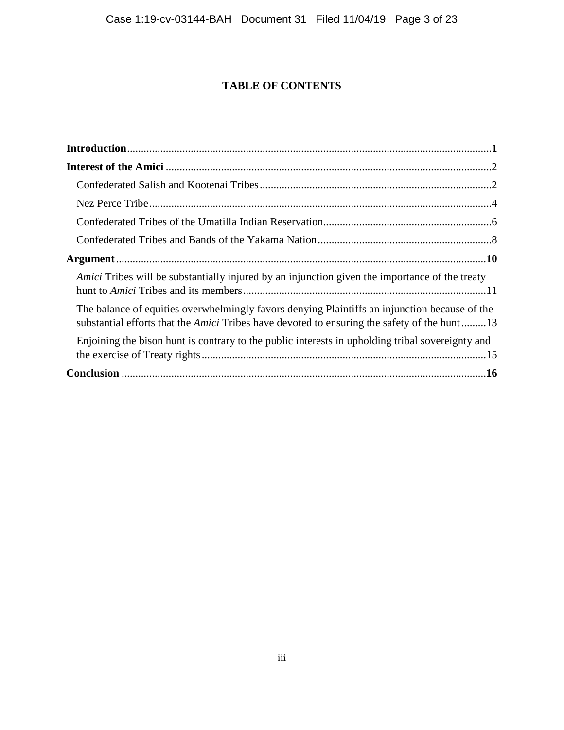## **TABLE OF CONTENTS**

| <i>Amici</i> Tribes will be substantially injured by an injunction given the importance of the treaty                                                                                               |  |
|-----------------------------------------------------------------------------------------------------------------------------------------------------------------------------------------------------|--|
| The balance of equities overwhelmingly favors denying Plaintiffs an injunction because of the<br>substantial efforts that the <i>Amici</i> Tribes have devoted to ensuring the safety of the hunt13 |  |
| Enjoining the bison hunt is contrary to the public interests in upholding tribal sovereignty and                                                                                                    |  |
|                                                                                                                                                                                                     |  |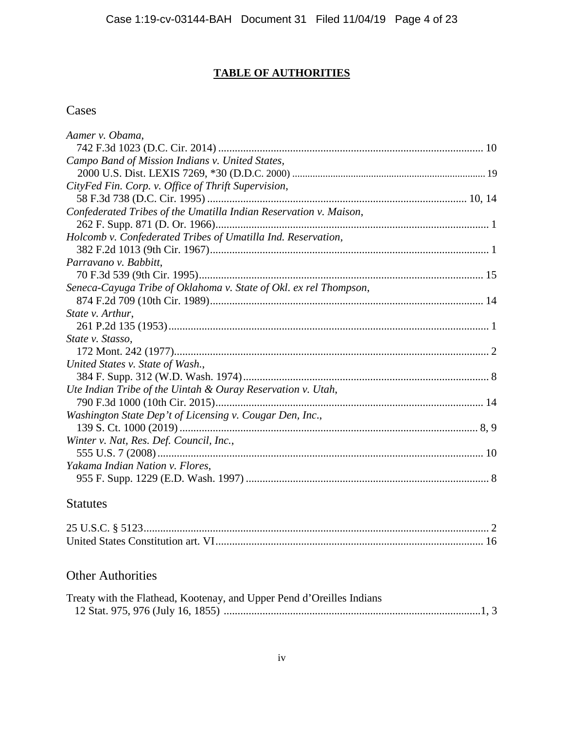## **TABLE OF AUTHORITIES**

## Cases

| Aamer v. Obama,                                                   |  |
|-------------------------------------------------------------------|--|
|                                                                   |  |
| Campo Band of Mission Indians v. United States,                   |  |
|                                                                   |  |
| CityFed Fin. Corp. v. Office of Thrift Supervision,               |  |
|                                                                   |  |
| Confederated Tribes of the Umatilla Indian Reservation v. Maison, |  |
|                                                                   |  |
| Holcomb v. Confederated Tribes of Umatilla Ind. Reservation,      |  |
|                                                                   |  |
| Parravano v. Babbitt,                                             |  |
|                                                                   |  |
| Seneca-Cayuga Tribe of Oklahoma v. State of Okl. ex rel Thompson, |  |
|                                                                   |  |
| State v. Arthur,                                                  |  |
|                                                                   |  |
| State v. Stasso,                                                  |  |
|                                                                   |  |
| United States v. State of Wash.,                                  |  |
|                                                                   |  |
| Ute Indian Tribe of the Uintah & Ouray Reservation v. Utah,       |  |
|                                                                   |  |
| Washington State Dep't of Licensing v. Cougar Den, Inc.,          |  |
|                                                                   |  |
| Winter v. Nat, Res. Def. Council, Inc.,                           |  |
|                                                                   |  |
| Yakama Indian Nation v. Flores,                                   |  |
|                                                                   |  |

## Statutes

# Other Authorities

| Treaty with the Flathead, Kootenay, and Upper Pend d'Oreilles Indians |  |
|-----------------------------------------------------------------------|--|
|                                                                       |  |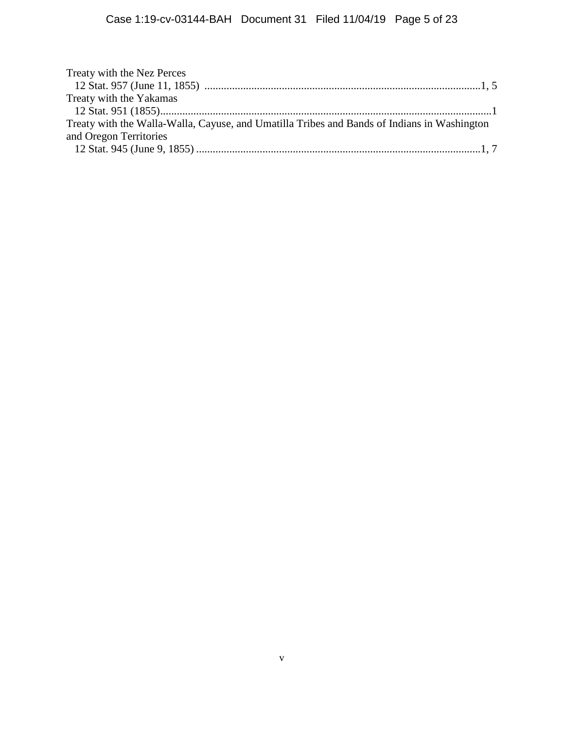| Treaty with the Nez Perces                                                                  |  |
|---------------------------------------------------------------------------------------------|--|
|                                                                                             |  |
| Treaty with the Yakamas                                                                     |  |
|                                                                                             |  |
| Treaty with the Walla-Walla, Cayuse, and Umatilla Tribes and Bands of Indians in Washington |  |
| and Oregon Territories                                                                      |  |
|                                                                                             |  |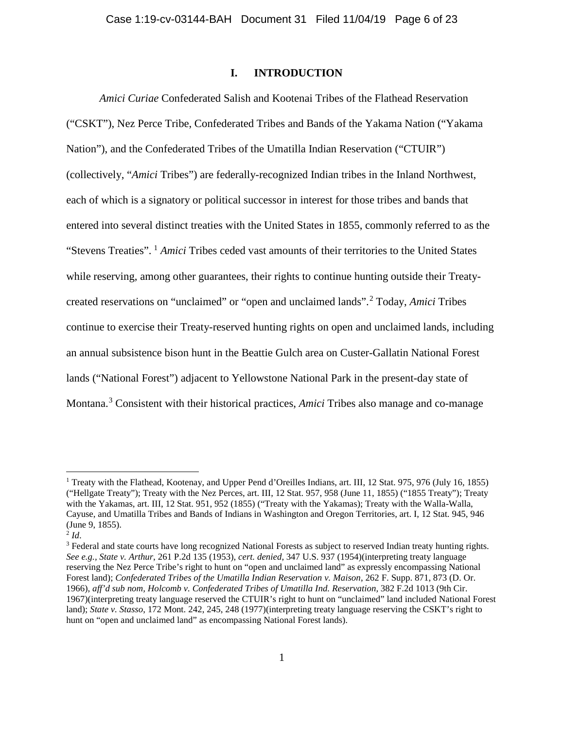#### **I. INTRODUCTION**

*Amici Curiae* Confederated Salish and Kootenai Tribes of the Flathead Reservation ("CSKT"), Nez Perce Tribe, Confederated Tribes and Bands of the Yakama Nation ("Yakama Nation"), and the Confederated Tribes of the Umatilla Indian Reservation ("CTUIR") (collectively, "*Amici* Tribes") are federally-recognized Indian tribes in the Inland Northwest, each of which is a signatory or political successor in interest for those tribes and bands that entered into several distinct treaties with the United States in 1855, commonly referred to as the "Stevens Treaties". [1](#page-5-0) *Amici* Tribes ceded vast amounts of their territories to the United States while reserving, among other guarantees, their rights to continue hunting outside their Treatycreated reservations on "unclaimed" or "open and unclaimed lands".[2](#page-5-1) Today, *Amici* Tribes continue to exercise their Treaty-reserved hunting rights on open and unclaimed lands, including an annual subsistence bison hunt in the Beattie Gulch area on Custer-Gallatin National Forest lands ("National Forest") adjacent to Yellowstone National Park in the present-day state of Montana.[3](#page-5-2) Consistent with their historical practices, *Amici* Tribes also manage and co-manage

<span id="page-5-0"></span><sup>&</sup>lt;sup>1</sup> Treaty with the Flathead, Kootenay, and Upper Pend d'Oreilles Indians, art. III, 12 Stat. 975, 976 (July 16, 1855) ("Hellgate Treaty"); Treaty with the Nez Perces, art. III, 12 Stat. 957, 958 (June 11, 1855) ("1855 Treaty"); Treaty with the Yakamas, art. III, 12 Stat. 951, 952 (1855) ("Treaty with the Yakamas); Treaty with the Walla-Walla, Cayuse, and Umatilla Tribes and Bands of Indians in Washington and Oregon Territories, art. I, 12 Stat. 945, 946 (June 9, 1855).

<span id="page-5-1"></span> $^{2}$ *Id*.

<span id="page-5-2"></span><sup>&</sup>lt;sup>3</sup> Federal and state courts have long recognized National Forests as subject to reserved Indian treaty hunting rights. *See e.g., State v. Arthur*, 261 P.2d 135 (1953), *cert. denied*, 347 U.S. 937 (1954)(interpreting treaty language reserving the Nez Perce Tribe's right to hunt on "open and unclaimed land" as expressly encompassing National Forest land); *Confederated Tribes of the Umatilla Indian Reservation v. Maison*, 262 F. Supp. 871, 873 (D. Or. 1966), *aff'd sub nom, Holcomb v. Confederated Tribes of Umatilla Ind. Reservation,* 382 F.2d 1013 (9th Cir. 1967)(interpreting treaty language reserved the CTUIR's right to hunt on "unclaimed" land included National Forest land); *State v. Stasso*, 172 Mont. 242, 245, 248 (1977)(interpreting treaty language reserving the CSKT's right to hunt on "open and unclaimed land" as encompassing National Forest lands).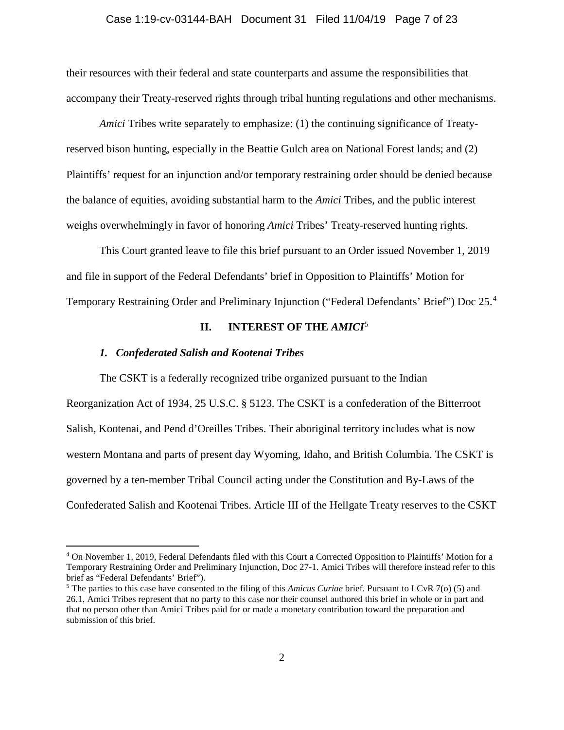#### Case 1:19-cv-03144-BAH Document 31 Filed 11/04/19 Page 7 of 23

their resources with their federal and state counterparts and assume the responsibilities that accompany their Treaty-reserved rights through tribal hunting regulations and other mechanisms.

*Amici* Tribes write separately to emphasize: (1) the continuing significance of Treatyreserved bison hunting, especially in the Beattie Gulch area on National Forest lands; and (2) Plaintiffs' request for an injunction and/or temporary restraining order should be denied because the balance of equities, avoiding substantial harm to the *Amici* Tribes, and the public interest weighs overwhelmingly in favor of honoring *Amici* Tribes' Treaty-reserved hunting rights.

This Court granted leave to file this brief pursuant to an Order issued November 1, 2019 and file in support of the Federal Defendants' brief in Opposition to Plaintiffs' Motion for Temporary Restraining Order and Preliminary Injunction ("Federal Defendants' Brief") Doc 25.[4](#page-6-0)

#### **II. INTEREST OF THE** *AMICI*[5](#page-6-1)

#### *1. Confederated Salish and Kootenai Tribes*

The CSKT is a federally recognized tribe organized pursuant to the Indian Reorganization Act of 1934, 25 U.S.C. § 5123. The CSKT is a confederation of the Bitterroot Salish, Kootenai, and Pend d'Oreilles Tribes. Their aboriginal territory includes what is now western Montana and parts of present day Wyoming, Idaho, and British Columbia. The CSKT is governed by a ten-member Tribal Council acting under the Constitution and By-Laws of the Confederated Salish and Kootenai Tribes. Article III of the Hellgate Treaty reserves to the CSKT

<span id="page-6-0"></span> <sup>4</sup> On November 1, 2019, Federal Defendants filed with this Court a Corrected Opposition to Plaintiffs' Motion for a Temporary Restraining Order and Preliminary Injunction, Doc 27-1. Amici Tribes will therefore instead refer to this brief as "Federal Defendants' Brief").

<span id="page-6-1"></span><sup>5</sup> The parties to this case have consented to the filing of this *Amicus Curiae* brief. Pursuant to LCvR 7(o) (5) and 26.1, Amici Tribes represent that no party to this case nor their counsel authored this brief in whole or in part and that no person other than Amici Tribes paid for or made a monetary contribution toward the preparation and submission of this brief.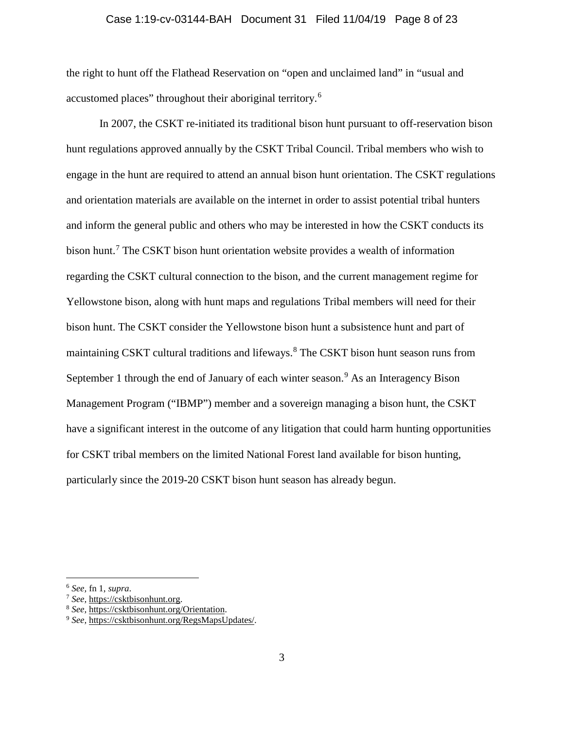#### Case 1:19-cv-03144-BAH Document 31 Filed 11/04/19 Page 8 of 23

the right to hunt off the Flathead Reservation on "open and unclaimed land" in "usual and accustomed places" throughout their aboriginal territory.<sup>[6](#page-7-0)</sup>

In 2007, the CSKT re-initiated its traditional bison hunt pursuant to off-reservation bison hunt regulations approved annually by the CSKT Tribal Council. Tribal members who wish to engage in the hunt are required to attend an annual bison hunt orientation. The CSKT regulations and orientation materials are available on the internet in order to assist potential tribal hunters and inform the general public and others who may be interested in how the CSKT conducts its bison hunt.[7](#page-7-1) The CSKT bison hunt orientation website provides a wealth of information regarding the CSKT cultural connection to the bison, and the current management regime for Yellowstone bison, along with hunt maps and regulations Tribal members will need for their bison hunt. The CSKT consider the Yellowstone bison hunt a subsistence hunt and part of maintaining CSKT cultural traditions and lifeways.[8](#page-7-2) The CSKT bison hunt season runs from September 1 through the end of January of each winter season.<sup>[9](#page-7-3)</sup> As an Interagency Bison Management Program ("IBMP") member and a sovereign managing a bison hunt, the CSKT have a significant interest in the outcome of any litigation that could harm hunting opportunities for CSKT tribal members on the limited National Forest land available for bison hunting, particularly since the 2019-20 CSKT bison hunt season has already begun.

<span id="page-7-0"></span> <sup>6</sup> *See,* fn 1, *supra*.

<span id="page-7-3"></span><span id="page-7-2"></span><span id="page-7-1"></span><sup>7</sup> *See,* [https://csktbisonhunt.org.](https://csktbisonhunt.org/) 8 *See,* [https://csktbisonhunt.org/Orientation.](https://csktbisonhunt.org/Orientation) 9 *See,* [https://csktbisonhunt.org/RegsMapsUpdates/.](https://csktbisonhunt.org/RegsMapsUpdates/)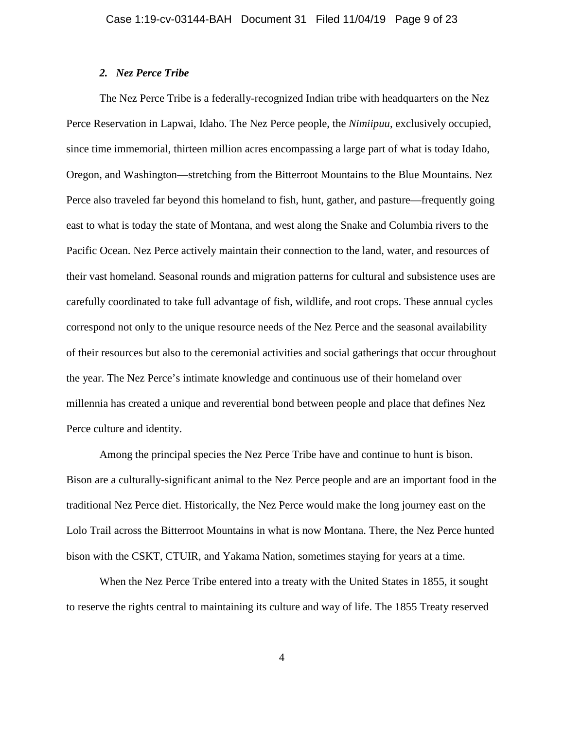#### *2. Nez Perce Tribe*

The Nez Perce Tribe is a federally-recognized Indian tribe with headquarters on the Nez Perce Reservation in Lapwai, Idaho. The Nez Perce people, the *Nimiipuu*, exclusively occupied, since time immemorial, thirteen million acres encompassing a large part of what is today Idaho, Oregon, and Washington—stretching from the Bitterroot Mountains to the Blue Mountains. Nez Perce also traveled far beyond this homeland to fish, hunt, gather, and pasture—frequently going east to what is today the state of Montana, and west along the Snake and Columbia rivers to the Pacific Ocean. Nez Perce actively maintain their connection to the land, water, and resources of their vast homeland. Seasonal rounds and migration patterns for cultural and subsistence uses are carefully coordinated to take full advantage of fish, wildlife, and root crops. These annual cycles correspond not only to the unique resource needs of the Nez Perce and the seasonal availability of their resources but also to the ceremonial activities and social gatherings that occur throughout the year. The Nez Perce's intimate knowledge and continuous use of their homeland over millennia has created a unique and reverential bond between people and place that defines Nez Perce culture and identity.

Among the principal species the Nez Perce Tribe have and continue to hunt is bison. Bison are a culturally-significant animal to the Nez Perce people and are an important food in the traditional Nez Perce diet. Historically, the Nez Perce would make the long journey east on the Lolo Trail across the Bitterroot Mountains in what is now Montana. There, the Nez Perce hunted bison with the CSKT, CTUIR, and Yakama Nation, sometimes staying for years at a time.

When the Nez Perce Tribe entered into a treaty with the United States in 1855, it sought to reserve the rights central to maintaining its culture and way of life. The 1855 Treaty reserved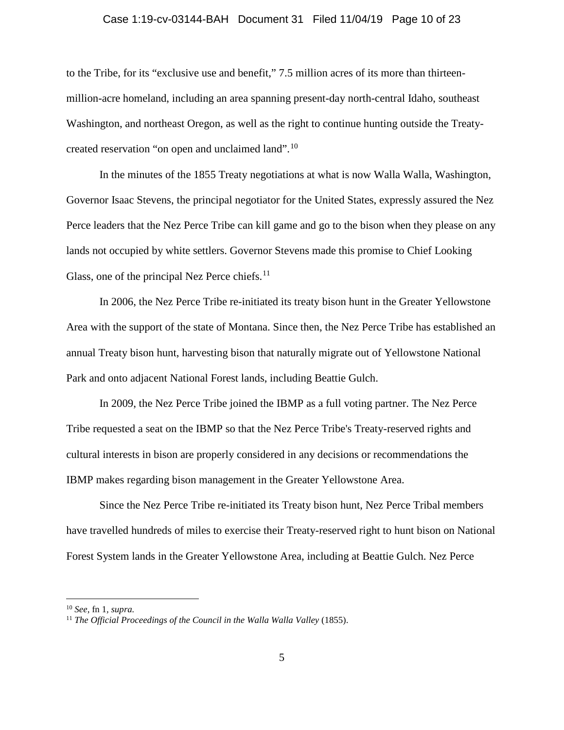#### Case 1:19-cv-03144-BAH Document 31 Filed 11/04/19 Page 10 of 23

to the Tribe, for its "exclusive use and benefit," 7.5 million acres of its more than thirteenmillion-acre homeland, including an area spanning present-day north-central Idaho, southeast Washington, and northeast Oregon, as well as the right to continue hunting outside the Treatycreated reservation "on open and unclaimed land".[10](#page-9-0)

In the minutes of the 1855 Treaty negotiations at what is now Walla Walla, Washington, Governor Isaac Stevens, the principal negotiator for the United States, expressly assured the Nez Perce leaders that the Nez Perce Tribe can kill game and go to the bison when they please on any lands not occupied by white settlers. Governor Stevens made this promise to Chief Looking Glass, one of the principal Nez Perce chiefs.<sup>[11](#page-9-1)</sup>

In 2006, the Nez Perce Tribe re-initiated its treaty bison hunt in the Greater Yellowstone Area with the support of the state of Montana. Since then, the Nez Perce Tribe has established an annual Treaty bison hunt, harvesting bison that naturally migrate out of Yellowstone National Park and onto adjacent National Forest lands, including Beattie Gulch.

In 2009, the Nez Perce Tribe joined the IBMP as a full voting partner. The Nez Perce Tribe requested a seat on the IBMP so that the Nez Perce Tribe's Treaty-reserved rights and cultural interests in bison are properly considered in any decisions or recommendations the IBMP makes regarding bison management in the Greater Yellowstone Area.

Since the Nez Perce Tribe re-initiated its Treaty bison hunt, Nez Perce Tribal members have travelled hundreds of miles to exercise their Treaty-reserved right to hunt bison on National Forest System lands in the Greater Yellowstone Area, including at Beattie Gulch. Nez Perce

<span id="page-9-0"></span> <sup>10</sup> *See,* fn <sup>1</sup>*, supra.*

<span id="page-9-1"></span><sup>11</sup> *The Official Proceedings of the Council in the Walla Walla Valley* (1855).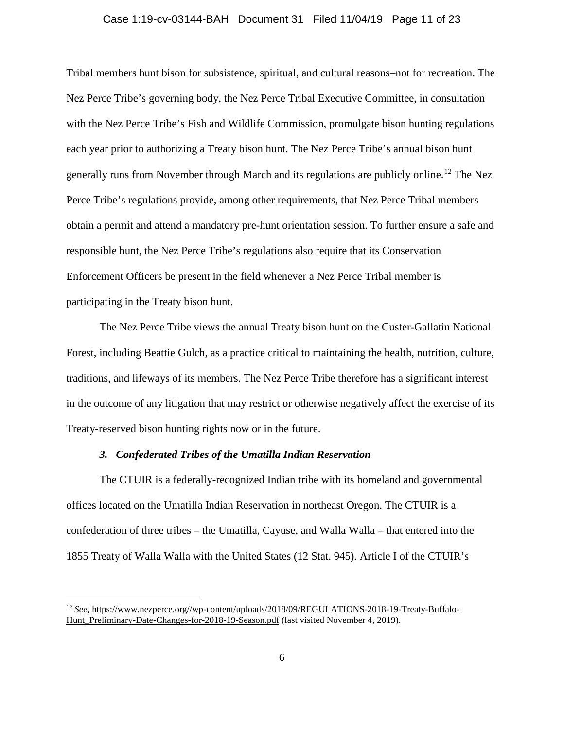#### Case 1:19-cv-03144-BAH Document 31 Filed 11/04/19 Page 11 of 23

Tribal members hunt bison for subsistence, spiritual, and cultural reasons–not for recreation. The Nez Perce Tribe's governing body, the Nez Perce Tribal Executive Committee, in consultation with the Nez Perce Tribe's Fish and Wildlife Commission, promulgate bison hunting regulations each year prior to authorizing a Treaty bison hunt. The Nez Perce Tribe's annual bison hunt generally runs from November through March and its regulations are publicly online.<sup>[12](#page-10-0)</sup> The Nez Perce Tribe's regulations provide, among other requirements, that Nez Perce Tribal members obtain a permit and attend a mandatory pre-hunt orientation session. To further ensure a safe and responsible hunt, the Nez Perce Tribe's regulations also require that its Conservation Enforcement Officers be present in the field whenever a Nez Perce Tribal member is participating in the Treaty bison hunt.

The Nez Perce Tribe views the annual Treaty bison hunt on the Custer-Gallatin National Forest, including Beattie Gulch, as a practice critical to maintaining the health, nutrition, culture, traditions, and lifeways of its members. The Nez Perce Tribe therefore has a significant interest in the outcome of any litigation that may restrict or otherwise negatively affect the exercise of its Treaty-reserved bison hunting rights now or in the future.

#### *3. Confederated Tribes of the Umatilla Indian Reservation*

The CTUIR is a federally-recognized Indian tribe with its homeland and governmental offices located on the Umatilla Indian Reservation in northeast Oregon. The CTUIR is a confederation of three tribes – the Umatilla, Cayuse, and Walla Walla – that entered into the 1855 Treaty of Walla Walla with the United States (12 Stat. 945). Article I of the CTUIR's

<span id="page-10-0"></span> <sup>12</sup> *See,* [https://www.nezperce.org//wp-content/uploads/2018/09/REGULATIONS-2018-19-Treaty-Buffalo-](https://www.nezperce.org/wp-content/uploads/2018/09/REGULATIONS-2018-19-Treaty-Buffalo-Hunt_Preliminary-Date-Changes-for-2018-19-Season.pdf)[Hunt\\_Preliminary-Date-Changes-for-2018-19-Season.pdf](https://www.nezperce.org/wp-content/uploads/2018/09/REGULATIONS-2018-19-Treaty-Buffalo-Hunt_Preliminary-Date-Changes-for-2018-19-Season.pdf) (last visited November 4, 2019).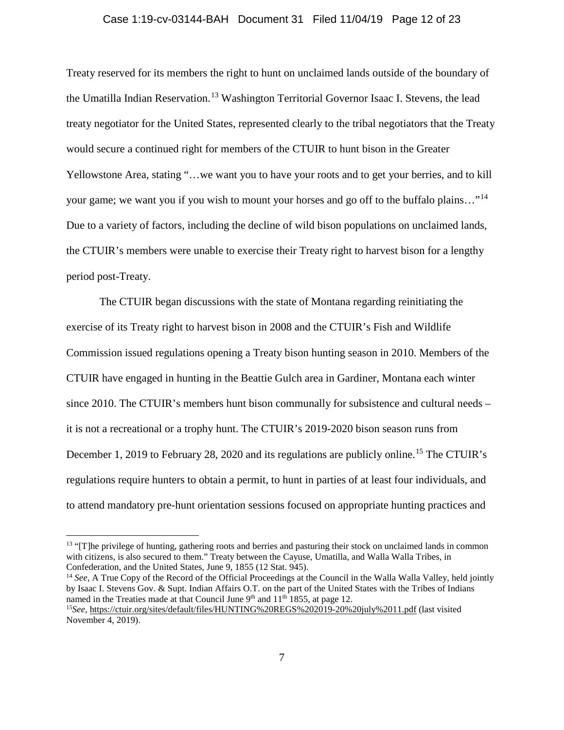#### Case 1:19-cv-03144-BAH Document 31 Filed 11/04/19 Page 12 of 23

Treaty reserved for its members the right to hunt on unclaimed lands outside of the boundary of the Umatilla Indian Reservation.<sup>[13](#page-11-0)</sup> Washington Territorial Governor Isaac I. Stevens, the lead treaty negotiator for the United States, represented clearly to the tribal negotiators that the Treaty would secure a continued right for members of the CTUIR to hunt bison in the Greater Yellowstone Area, stating "…we want you to have your roots and to get your berries, and to kill your game; we want you if you wish to mount your horses and go off to the buffalo plains..."<sup>[14](#page-11-1)</sup> Due to a variety of factors, including the decline of wild bison populations on unclaimed lands, the CTUIR's members were unable to exercise their Treaty right to harvest bison for a lengthy period post-Treaty.

The CTUIR began discussions with the state of Montana regarding reinitiating the exercise of its Treaty right to harvest bison in 2008 and the CTUIR's Fish and Wildlife Commission issued regulations opening a Treaty bison hunting season in 2010. Members of the CTUIR have engaged in hunting in the Beattie Gulch area in Gardiner, Montana each winter since 2010. The CTUIR's members hunt bison communally for subsistence and cultural needs – it is not a recreational or a trophy hunt. The CTUIR's 2019-2020 bison season runs from December 1, 2019 to February 28, 2020 and its regulations are publicly online.<sup>[15](#page-11-2)</sup> The CTUIR's regulations require hunters to obtain a permit, to hunt in parties of at least four individuals, and to attend mandatory pre-hunt orientation sessions focused on appropriate hunting practices and

<span id="page-11-0"></span><sup>&</sup>lt;sup>13</sup> "[T]he privilege of hunting, gathering roots and berries and pasturing their stock on unclaimed lands in common with citizens, is also secured to them." Treaty between the Cayuse, Umatilla, and Walla Walla Tribes, in Confederation, and the United States, June 9, 1855 (12 Stat. 945).

<span id="page-11-1"></span><sup>&</sup>lt;sup>14</sup> See, A True Copy of the Record of the Official Proceedings at the Council in the Walla Walla Valley, held jointly by Isaac I. Stevens Gov. & Supt. Indian Affairs O.T. on the part of the United States with the Tribes of Indians named in the Treaties made at that Council June 9<sup>th</sup> and 11<sup>th</sup> 1855, at page 12. <sup>15</sup>*See,* <https://ctuir.org/sites/default/files/HUNTING%20REGS%202019-20%20july%2011.pdf> (last visited

<span id="page-11-2"></span>November 4, 2019).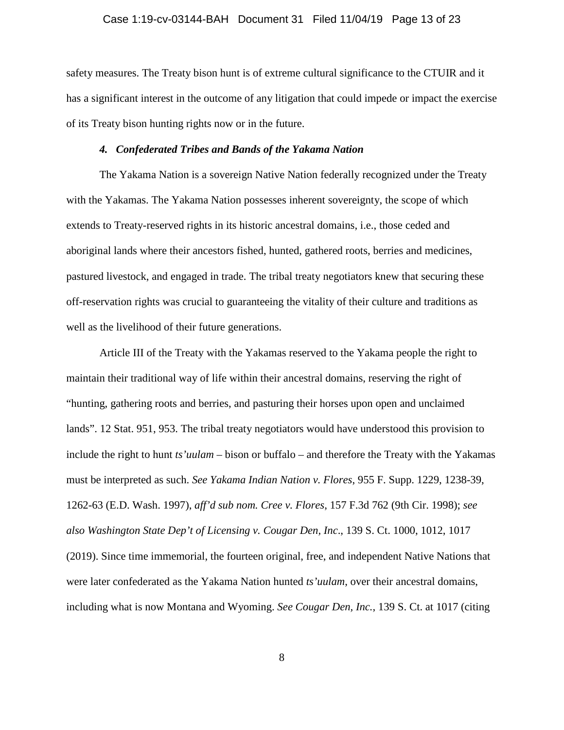#### Case 1:19-cv-03144-BAH Document 31 Filed 11/04/19 Page 13 of 23

safety measures. The Treaty bison hunt is of extreme cultural significance to the CTUIR and it has a significant interest in the outcome of any litigation that could impede or impact the exercise of its Treaty bison hunting rights now or in the future.

#### *4. Confederated Tribes and Bands of the Yakama Nation*

The Yakama Nation is a sovereign Native Nation federally recognized under the Treaty with the Yakamas. The Yakama Nation possesses inherent sovereignty, the scope of which extends to Treaty-reserved rights in its historic ancestral domains, i.e., those ceded and aboriginal lands where their ancestors fished, hunted, gathered roots, berries and medicines, pastured livestock, and engaged in trade. The tribal treaty negotiators knew that securing these off-reservation rights was crucial to guaranteeing the vitality of their culture and traditions as well as the livelihood of their future generations.

Article III of the Treaty with the Yakamas reserved to the Yakama people the right to maintain their traditional way of life within their ancestral domains, reserving the right of "hunting, gathering roots and berries, and pasturing their horses upon open and unclaimed lands". 12 Stat. 951, 953. The tribal treaty negotiators would have understood this provision to include the right to hunt *ts'uulam* – bison or buffalo – and therefore the Treaty with the Yakamas must be interpreted as such. *See Yakama Indian Nation v. Flores*, 955 F. Supp. 1229, 1238-39, 1262-63 (E.D. Wash. 1997), *aff'd sub nom. Cree v. Flores*, 157 F.3d 762 (9th Cir. 1998); *see also Washington State Dep't of Licensing v. Cougar Den, Inc*., 139 S. Ct. 1000, 1012, 1017 (2019). Since time immemorial, the fourteen original, free, and independent Native Nations that were later confederated as the Yakama Nation hunted *ts'uulam*, over their ancestral domains, including what is now Montana and Wyoming. *See Cougar Den, Inc.*, 139 S. Ct. at 1017 (citing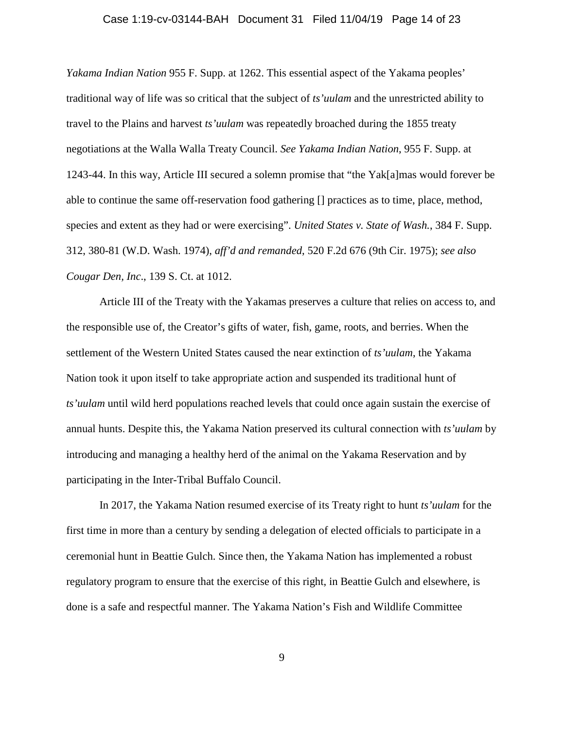#### Case 1:19-cv-03144-BAH Document 31 Filed 11/04/19 Page 14 of 23

*Yakama Indian Nation* 955 F. Supp. at 1262. This essential aspect of the Yakama peoples' traditional way of life was so critical that the subject of *ts'uulam* and the unrestricted ability to travel to the Plains and harvest *ts'uulam* was repeatedly broached during the 1855 treaty negotiations at the Walla Walla Treaty Council. *See Yakama Indian Nation*, 955 F. Supp. at 1243-44. In this way, Article III secured a solemn promise that "the Yak[a]mas would forever be able to continue the same off-reservation food gathering [] practices as to time, place, method, species and extent as they had or were exercising". *United States v. State of Wash.*, 384 F. Supp. 312, 380-81 (W.D. Wash. 1974), *aff'd and remanded*, 520 F.2d 676 (9th Cir. 1975); *see also Cougar Den, Inc*., 139 S. Ct. at 1012.

Article III of the Treaty with the Yakamas preserves a culture that relies on access to, and the responsible use of, the Creator's gifts of water, fish, game, roots, and berries. When the settlement of the Western United States caused the near extinction of *ts'uulam*, the Yakama Nation took it upon itself to take appropriate action and suspended its traditional hunt of *ts'uulam* until wild herd populations reached levels that could once again sustain the exercise of annual hunts. Despite this, the Yakama Nation preserved its cultural connection with *ts'uulam* by introducing and managing a healthy herd of the animal on the Yakama Reservation and by participating in the Inter-Tribal Buffalo Council.

In 2017, the Yakama Nation resumed exercise of its Treaty right to hunt *ts'uulam* for the first time in more than a century by sending a delegation of elected officials to participate in a ceremonial hunt in Beattie Gulch. Since then, the Yakama Nation has implemented a robust regulatory program to ensure that the exercise of this right, in Beattie Gulch and elsewhere, is done is a safe and respectful manner. The Yakama Nation's Fish and Wildlife Committee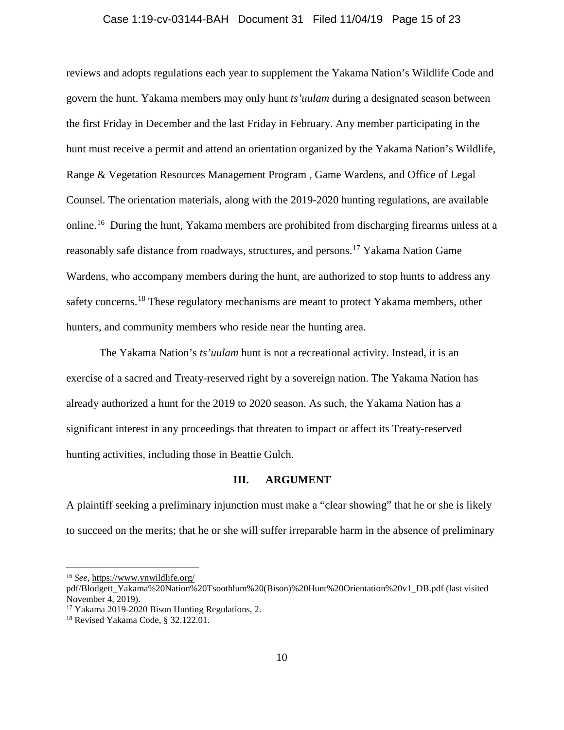#### Case 1:19-cv-03144-BAH Document 31 Filed 11/04/19 Page 15 of 23

reviews and adopts regulations each year to supplement the Yakama Nation's Wildlife Code and govern the hunt. Yakama members may only hunt *ts'uulam* during a designated season between the first Friday in December and the last Friday in February. Any member participating in the hunt must receive a permit and attend an orientation organized by the Yakama Nation's Wildlife, Range & Vegetation Resources Management Program , Game Wardens, and Office of Legal Counsel. The orientation materials, along with the 2019-2020 hunting regulations, are available online.[16](#page-14-0) During the hunt, Yakama members are prohibited from discharging firearms unless at a reasonably safe distance from roadways, structures, and persons.<sup>[17](#page-14-1)</sup> Yakama Nation Game Wardens, who accompany members during the hunt, are authorized to stop hunts to address any safety concerns.<sup>[18](#page-14-2)</sup> These regulatory mechanisms are meant to protect Yakama members, other hunters, and community members who reside near the hunting area.

The Yakama Nation's *ts'uulam* hunt is not a recreational activity. Instead, it is an exercise of a sacred and Treaty-reserved right by a sovereign nation. The Yakama Nation has already authorized a hunt for the 2019 to 2020 season. As such, the Yakama Nation has a significant interest in any proceedings that threaten to impact or affect its Treaty-reserved hunting activities, including those in Beattie Gulch.

#### **III. ARGUMENT**

A plaintiff seeking a preliminary injunction must make a "clear showing" that he or she is likely to succeed on the merits; that he or she will suffer irreparable harm in the absence of preliminary

<span id="page-14-0"></span> <sup>16</sup> *See,* [https://www.ynwildlife.org/](https://www.ynwildlife.org/%20pdf/Blodgett_Yakama%20Nation%20Tsoothlum%20(Bison)%20Hunt%20Orientation%20v1_DB.pdf) 

[pdf/Blodgett\\_Yakama%20Nation%20Tsoothlum%20\(Bison\)%20Hunt%20Orientation%20v1\\_DB.pdf](https://www.ynwildlife.org/%20pdf/Blodgett_Yakama%20Nation%20Tsoothlum%20(Bison)%20Hunt%20Orientation%20v1_DB.pdf) (last visited November 4, 2019).

<span id="page-14-1"></span><sup>&</sup>lt;sup>17</sup> Yakama 2019-2020 Bison Hunting Regulations, 2.

<span id="page-14-2"></span><sup>18</sup> Revised Yakama Code, § 32.122.01.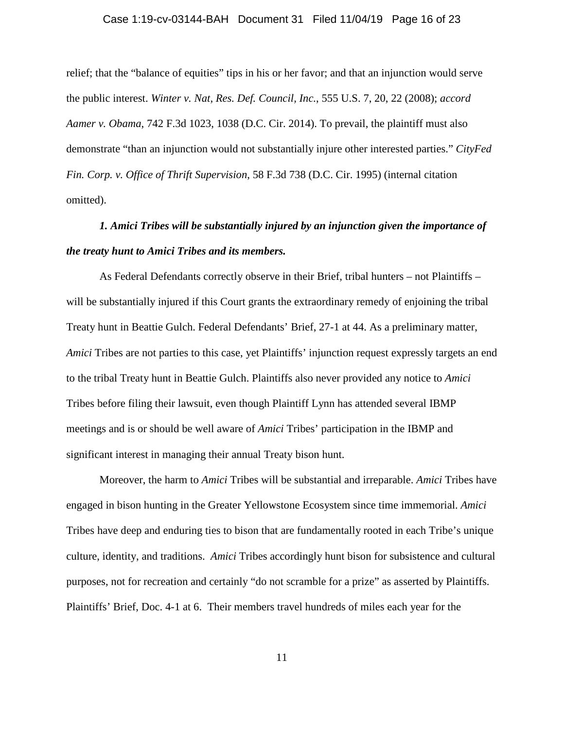#### Case 1:19-cv-03144-BAH Document 31 Filed 11/04/19 Page 16 of 23

relief; that the "balance of equities" tips in his or her favor; and that an injunction would serve the public interest. *Winter v. Nat, Res. Def. Council, Inc.*, 555 U.S. 7, 20, 22 (2008); *accord Aamer v. Obama*, 742 F.3d 1023, 1038 (D.C. Cir. 2014). To prevail, the plaintiff must also demonstrate "than an injunction would not substantially injure other interested parties." *CityFed Fin. Corp. v. Office of Thrift Supervision*, 58 F.3d 738 (D.C. Cir. 1995) (internal citation omitted).

# *1. Amici Tribes will be substantially injured by an injunction given the importance of the treaty hunt to Amici Tribes and its members.*

As Federal Defendants correctly observe in their Brief, tribal hunters – not Plaintiffs – will be substantially injured if this Court grants the extraordinary remedy of enjoining the tribal Treaty hunt in Beattie Gulch. Federal Defendants' Brief, 27-1 at 44. As a preliminary matter, *Amici* Tribes are not parties to this case, yet Plaintiffs' injunction request expressly targets an end to the tribal Treaty hunt in Beattie Gulch. Plaintiffs also never provided any notice to *Amici* Tribes before filing their lawsuit, even though Plaintiff Lynn has attended several IBMP meetings and is or should be well aware of *Amici* Tribes' participation in the IBMP and significant interest in managing their annual Treaty bison hunt.

Moreover, the harm to *Amici* Tribes will be substantial and irreparable. *Amici* Tribes have engaged in bison hunting in the Greater Yellowstone Ecosystem since time immemorial. *Amici* Tribes have deep and enduring ties to bison that are fundamentally rooted in each Tribe's unique culture, identity, and traditions. *Amici* Tribes accordingly hunt bison for subsistence and cultural purposes, not for recreation and certainly "do not scramble for a prize" as asserted by Plaintiffs. Plaintiffs' Brief, Doc. 4-1 at 6. Their members travel hundreds of miles each year for the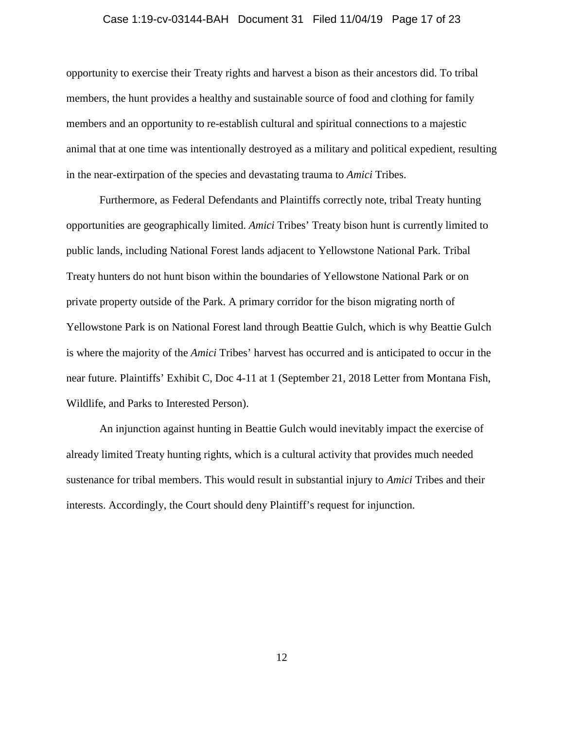#### Case 1:19-cv-03144-BAH Document 31 Filed 11/04/19 Page 17 of 23

opportunity to exercise their Treaty rights and harvest a bison as their ancestors did. To tribal members, the hunt provides a healthy and sustainable source of food and clothing for family members and an opportunity to re-establish cultural and spiritual connections to a majestic animal that at one time was intentionally destroyed as a military and political expedient, resulting in the near-extirpation of the species and devastating trauma to *Amici* Tribes.

Furthermore, as Federal Defendants and Plaintiffs correctly note, tribal Treaty hunting opportunities are geographically limited. *Amici* Tribes' Treaty bison hunt is currently limited to public lands, including National Forest lands adjacent to Yellowstone National Park. Tribal Treaty hunters do not hunt bison within the boundaries of Yellowstone National Park or on private property outside of the Park. A primary corridor for the bison migrating north of Yellowstone Park is on National Forest land through Beattie Gulch, which is why Beattie Gulch is where the majority of the *Amici* Tribes' harvest has occurred and is anticipated to occur in the near future. Plaintiffs' Exhibit C, Doc 4-11 at 1 (September 21, 2018 Letter from Montana Fish, Wildlife, and Parks to Interested Person).

An injunction against hunting in Beattie Gulch would inevitably impact the exercise of already limited Treaty hunting rights, which is a cultural activity that provides much needed sustenance for tribal members. This would result in substantial injury to *Amici* Tribes and their interests. Accordingly, the Court should deny Plaintiff's request for injunction.

12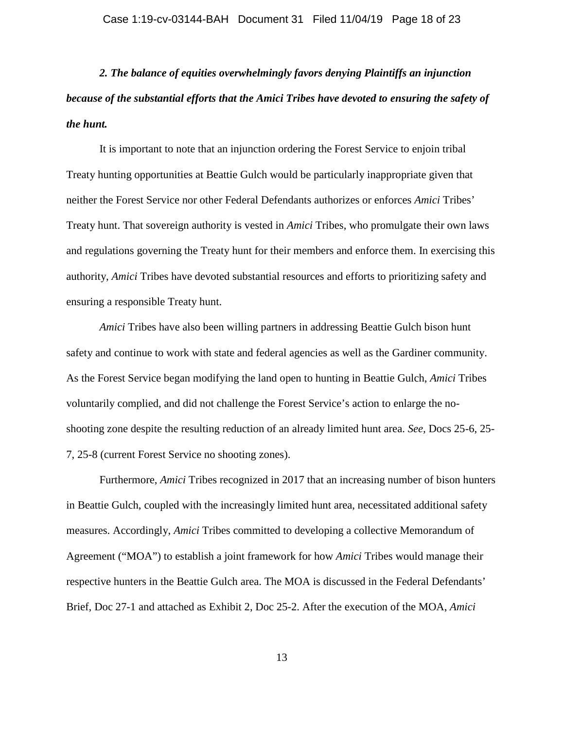*2. The balance of equities overwhelmingly favors denying Plaintiffs an injunction because of the substantial efforts that the Amici Tribes have devoted to ensuring the safety of the hunt.*

It is important to note that an injunction ordering the Forest Service to enjoin tribal Treaty hunting opportunities at Beattie Gulch would be particularly inappropriate given that neither the Forest Service nor other Federal Defendants authorizes or enforces *Amici* Tribes' Treaty hunt. That sovereign authority is vested in *Amici* Tribes, who promulgate their own laws and regulations governing the Treaty hunt for their members and enforce them. In exercising this authority, *Amici* Tribes have devoted substantial resources and efforts to prioritizing safety and ensuring a responsible Treaty hunt.

*Amici* Tribes have also been willing partners in addressing Beattie Gulch bison hunt safety and continue to work with state and federal agencies as well as the Gardiner community. As the Forest Service began modifying the land open to hunting in Beattie Gulch, *Amici* Tribes voluntarily complied, and did not challenge the Forest Service's action to enlarge the noshooting zone despite the resulting reduction of an already limited hunt area. *See,* Docs 25-6, 25- 7, 25-8 (current Forest Service no shooting zones).

Furthermore, *Amici* Tribes recognized in 2017 that an increasing number of bison hunters in Beattie Gulch, coupled with the increasingly limited hunt area, necessitated additional safety measures. Accordingly, *Amici* Tribes committed to developing a collective Memorandum of Agreement ("MOA") to establish a joint framework for how *Amici* Tribes would manage their respective hunters in the Beattie Gulch area. The MOA is discussed in the Federal Defendants' Brief, Doc 27-1 and attached as Exhibit 2, Doc 25-2. After the execution of the MOA, *Amici*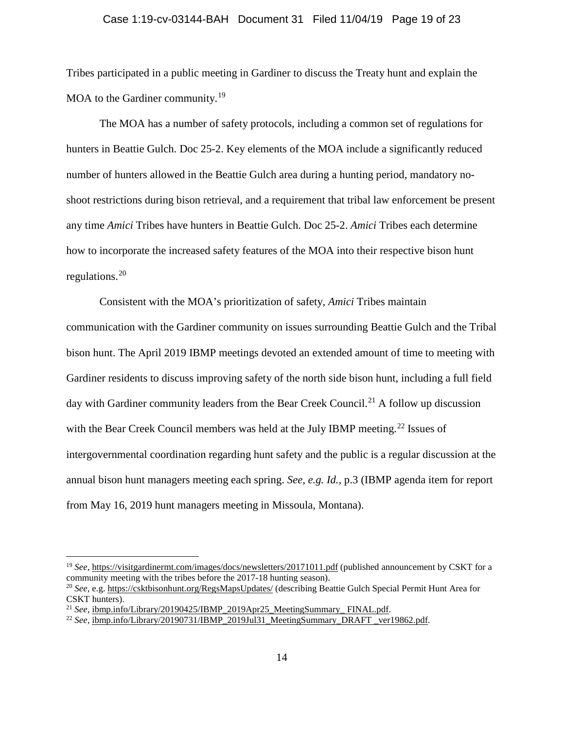#### Case 1:19-cv-03144-BAH Document 31 Filed 11/04/19 Page 19 of 23

Tribes participated in a public meeting in Gardiner to discuss the Treaty hunt and explain the MOA to the Gardiner community.<sup>[19](#page-18-0)</sup>

The MOA has a number of safety protocols, including a common set of regulations for hunters in Beattie Gulch. Doc 25-2. Key elements of the MOA include a significantly reduced number of hunters allowed in the Beattie Gulch area during a hunting period, mandatory noshoot restrictions during bison retrieval, and a requirement that tribal law enforcement be present any time *Amici* Tribes have hunters in Beattie Gulch. Doc 25-2. *Amici* Tribes each determine how to incorporate the increased safety features of the MOA into their respective bison hunt regulations.[20](#page-18-1)

Consistent with the MOA's prioritization of safety, *Amici* Tribes maintain communication with the Gardiner community on issues surrounding Beattie Gulch and the Tribal bison hunt. The April 2019 IBMP meetings devoted an extended amount of time to meeting with Gardiner residents to discuss improving safety of the north side bison hunt, including a full field day with Gardiner community leaders from the Bear Creek Council.<sup>[21](#page-18-2)</sup> A follow up discussion with the Bear Creek Council members was held at the July IBMP meeting.<sup>[22](#page-18-3)</sup> Issues of intergovernmental coordination regarding hunt safety and the public is a regular discussion at the annual bison hunt managers meeting each spring. *See, e.g. Id.*, p.3 (IBMP agenda item for report from May 16, 2019 hunt managers meeting in Missoula, Montana).

<span id="page-18-0"></span> <sup>19</sup> *See,* <https://visitgardinermt.com/images/docs/newsletters/20171011.pdf> (published announcement by CSKT for a community meeting with the tribes before the 2017-18 hunting season).

<span id="page-18-1"></span><sup>20</sup> *See,* e.g. https://csktbisonhunt.org/RegsMapsUpdates/ (describing Beattie Gulch Special Permit Hunt Area for CSKT hunters).

<span id="page-18-2"></span><sup>&</sup>lt;sup>21</sup> *See*, ibmp.info/Library/20190425/IBMP\_2019Apr25\_MeetingSummary\_ FINAL.pdf.

<span id="page-18-3"></span><sup>22</sup> *See,* ibmp.info/Library/20190731/IBMP\_2019Jul31\_MeetingSummary\_DRAFT \_ver19862.pdf.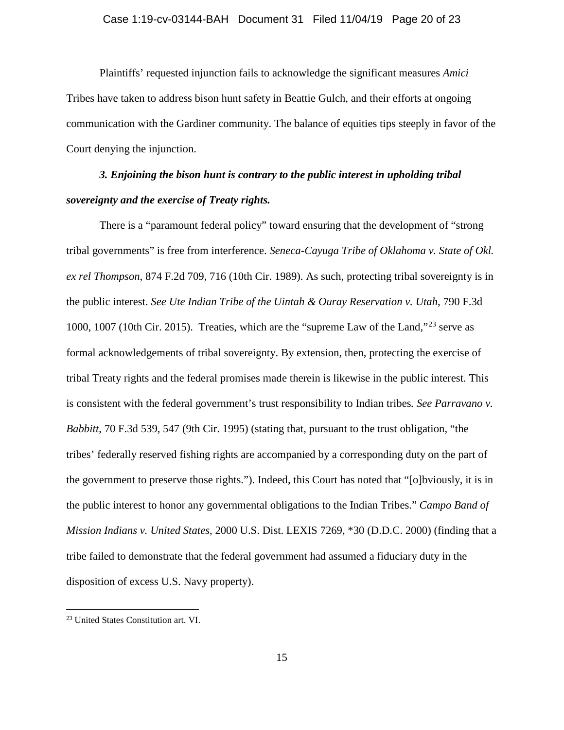#### Case 1:19-cv-03144-BAH Document 31 Filed 11/04/19 Page 20 of 23

Plaintiffs' requested injunction fails to acknowledge the significant measures *Amici* Tribes have taken to address bison hunt safety in Beattie Gulch, and their efforts at ongoing communication with the Gardiner community. The balance of equities tips steeply in favor of the Court denying the injunction.

# *3. Enjoining the bison hunt is contrary to the public interest in upholding tribal sovereignty and the exercise of Treaty rights.*

There is a "paramount federal policy" toward ensuring that the development of "strong tribal governments" is free from interference. *Seneca-Cayuga Tribe of Oklahoma v. State of Okl. ex rel Thompson*, 874 F.2d 709, 716 (10th Cir. 1989). As such, protecting tribal sovereignty is in the public interest. *See Ute Indian Tribe of the Uintah & Ouray Reservation v. Utah*, 790 F.3d 1000, 1007 (10th Cir. 2015). Treaties, which are the "supreme Law of the Land,"[23](#page-19-0) serve as formal acknowledgements of tribal sovereignty. By extension, then, protecting the exercise of tribal Treaty rights and the federal promises made therein is likewise in the public interest. This is consistent with the federal government's trust responsibility to Indian tribes*. See Parravano v. Babbitt*, 70 F.3d 539, 547 (9th Cir. 1995) (stating that, pursuant to the trust obligation, "the tribes' federally reserved fishing rights are accompanied by a corresponding duty on the part of the government to preserve those rights."). Indeed, this Court has noted that "[o]bviously, it is in the public interest to honor any governmental obligations to the Indian Tribes." *Campo Band of Mission Indians v. United States*, 2000 U.S. Dist. LEXIS 7269, \*30 (D.D.C. 2000) (finding that a tribe failed to demonstrate that the federal government had assumed a fiduciary duty in the disposition of excess U.S. Navy property).

<span id="page-19-0"></span> <sup>23</sup> United States Constitution art. VI.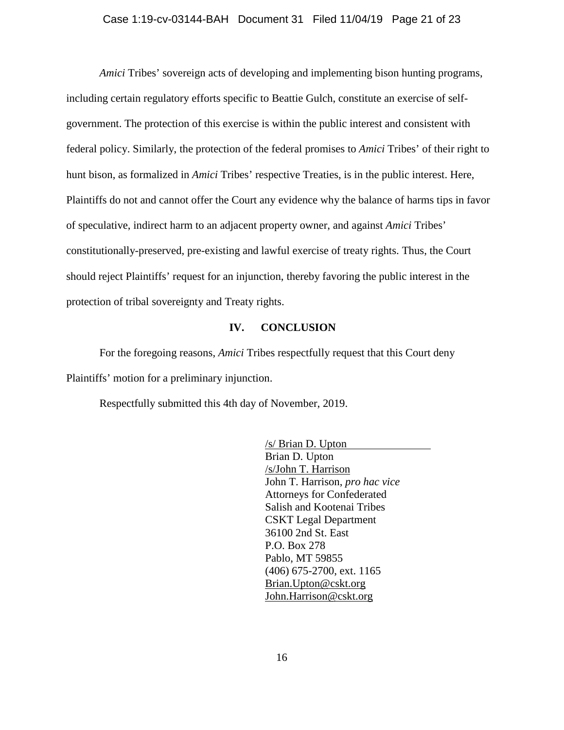#### Case 1:19-cv-03144-BAH Document 31 Filed 11/04/19 Page 21 of 23

*Amici* Tribes' sovereign acts of developing and implementing bison hunting programs, including certain regulatory efforts specific to Beattie Gulch, constitute an exercise of selfgovernment. The protection of this exercise is within the public interest and consistent with federal policy. Similarly, the protection of the federal promises to *Amici* Tribes' of their right to hunt bison, as formalized in *Amici* Tribes' respective Treaties, is in the public interest. Here, Plaintiffs do not and cannot offer the Court any evidence why the balance of harms tips in favor of speculative, indirect harm to an adjacent property owner, and against *Amici* Tribes' constitutionally-preserved, pre-existing and lawful exercise of treaty rights. Thus, the Court should reject Plaintiffs' request for an injunction, thereby favoring the public interest in the protection of tribal sovereignty and Treaty rights.

#### **IV. CONCLUSION**

For the foregoing reasons, *Amici* Tribes respectfully request that this Court deny Plaintiffs' motion for a preliminary injunction.

Respectfully submitted this 4th day of November, 2019.

/s/ Brian D. Upton Brian D. Upton /s/John T. Harrison John T. Harrison, *pro hac vice* Attorneys for Confederated Salish and Kootenai Tribes CSKT Legal Department 36100 2nd St. East P.O. Box 278 Pablo, MT 59855 (406) 675-2700, ext. 1165 [Brian.Upton@cskt.org](mailto:Brian.Upton@cskt.org) John.Harrison@cskt.org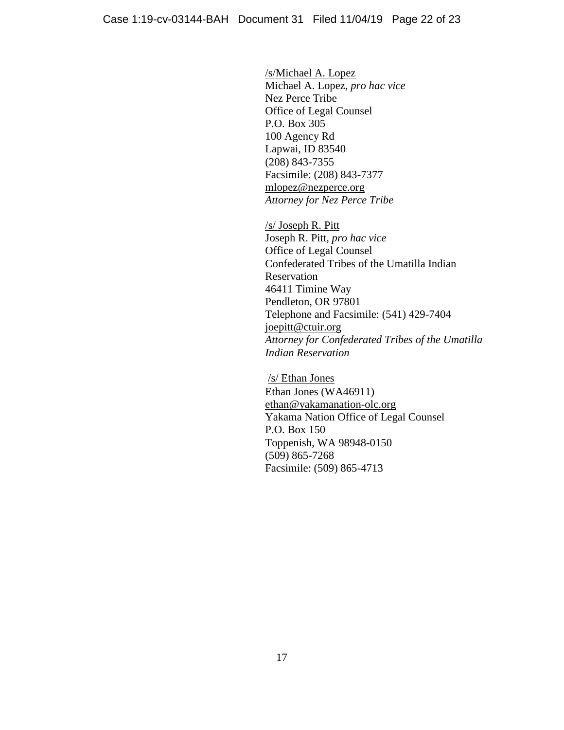/s/Michael A. Lopez Michael A. Lopez, *pro hac vice* Nez Perce Tribe Office of Legal Counsel P.O. Box 305 100 Agency Rd Lapwai, ID 83540 (208) 843-7355 Facsimile: (208) 843-7377 mlopez@nezperce.org *Attorney for Nez Perce Tribe*

/s/ Joseph R. Pitt Joseph R. Pitt, *pro hac vice* Office of Legal Counsel Confederated Tribes of the Umatilla Indian Reservation 46411 Timine Way Pendleton, OR 97801 Telephone and Facsimile: (541) 429-7404 [joepitt@ctuir.org](mailto:joepitt@ctuir.org) *Attorney for Confederated Tribes of the Umatilla Indian Reservation*

/s/ Ethan Jones Ethan Jones (WA46911) [ethan@yakamanation-olc.org](mailto:ethan@yakamanation-olc.org) Yakama Nation Office of Legal Counsel P.O. Box 150 Toppenish, WA 98948-0150 (509) 865-7268 Facsimile: (509) 865-4713